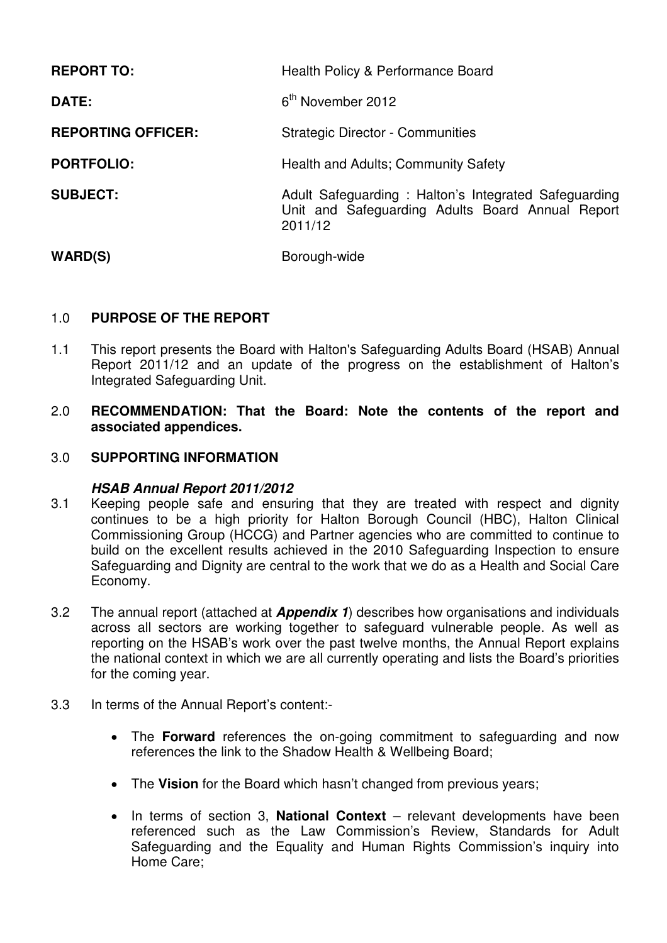| <b>REPORT TO:</b>         | Health Policy & Performance Board                                                                                   |  |
|---------------------------|---------------------------------------------------------------------------------------------------------------------|--|
| <b>DATE:</b>              | 6 <sup>th</sup> November 2012                                                                                       |  |
| <b>REPORTING OFFICER:</b> | <b>Strategic Director - Communities</b>                                                                             |  |
| <b>PORTFOLIO:</b>         | Health and Adults; Community Safety                                                                                 |  |
| <b>SUBJECT:</b>           | Adult Safeguarding: Halton's Integrated Safeguarding<br>Unit and Safeguarding Adults Board Annual Report<br>2011/12 |  |
| <b>WARD(S)</b>            | Borough-wide                                                                                                        |  |

## 1.0 **PURPOSE OF THE REPORT**

- 1.1 This report presents the Board with Halton's Safeguarding Adults Board (HSAB) Annual Report 2011/12 and an update of the progress on the establishment of Halton's Integrated Safeguarding Unit.
- 2.0 **RECOMMENDATION: That the Board: Note the contents of the report and associated appendices.**

## 3.0 **SUPPORTING INFORMATION**

### **HSAB Annual Report 2011/2012**

- 3.1 Keeping people safe and ensuring that they are treated with respect and dignity continues to be a high priority for Halton Borough Council (HBC), Halton Clinical Commissioning Group (HCCG) and Partner agencies who are committed to continue to build on the excellent results achieved in the 2010 Safeguarding Inspection to ensure Safeguarding and Dignity are central to the work that we do as a Health and Social Care Economy.
- 3.2 The annual report (attached at **Appendix 1**) describes how organisations and individuals across all sectors are working together to safeguard vulnerable people. As well as reporting on the HSAB's work over the past twelve months, the Annual Report explains the national context in which we are all currently operating and lists the Board's priorities for the coming year.
- 3.3 In terms of the Annual Report's content:-
	- The **Forward** references the on-going commitment to safeguarding and now references the link to the Shadow Health & Wellbeing Board;
	- The **Vision** for the Board which hasn't changed from previous years;
	- In terms of section 3, **National Context** relevant developments have been referenced such as the Law Commission's Review, Standards for Adult Safeguarding and the Equality and Human Rights Commission's inquiry into Home Care;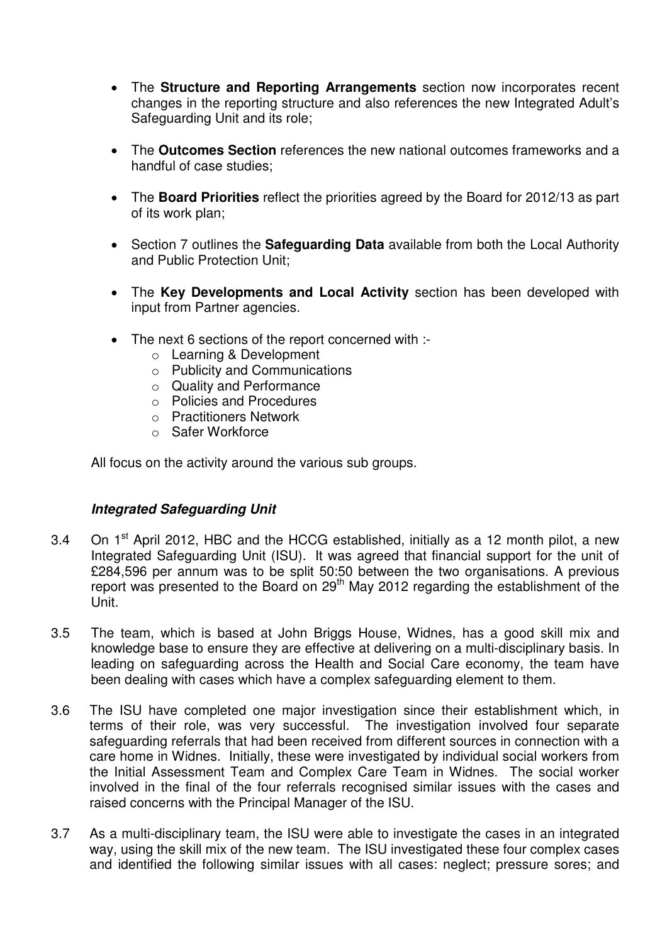- The **Structure and Reporting Arrangements** section now incorporates recent changes in the reporting structure and also references the new Integrated Adult's Safeguarding Unit and its role;
- The **Outcomes Section** references the new national outcomes frameworks and a handful of case studies;
- The **Board Priorities** reflect the priorities agreed by the Board for 2012/13 as part of its work plan;
- Section 7 outlines the **Safeguarding Data** available from both the Local Authority and Public Protection Unit;
- The **Key Developments and Local Activity** section has been developed with input from Partner agencies.
- The next 6 sections of the report concerned with :
	- o Learning & Development
	- o Publicity and Communications
	- o Quality and Performance
	- o Policies and Procedures
	- o Practitioners Network
	- o Safer Workforce

All focus on the activity around the various sub groups.

### **Integrated Safeguarding Unit**

- 3.4 On  $1<sup>st</sup>$  April 2012, HBC and the HCCG established, initially as a 12 month pilot, a new Integrated Safeguarding Unit (ISU). It was agreed that financial support for the unit of £284,596 per annum was to be split 50:50 between the two organisations. A previous report was presented to the Board on 29<sup>th</sup> May 2012 regarding the establishment of the Unit.
- 3.5 The team, which is based at John Briggs House, Widnes, has a good skill mix and knowledge base to ensure they are effective at delivering on a multi-disciplinary basis. In leading on safeguarding across the Health and Social Care economy, the team have been dealing with cases which have a complex safeguarding element to them.
- 3.6 The ISU have completed one major investigation since their establishment which, in terms of their role, was very successful. The investigation involved four separate safeguarding referrals that had been received from different sources in connection with a care home in Widnes. Initially, these were investigated by individual social workers from the Initial Assessment Team and Complex Care Team in Widnes. The social worker involved in the final of the four referrals recognised similar issues with the cases and raised concerns with the Principal Manager of the ISU.
- 3.7 As a multi-disciplinary team, the ISU were able to investigate the cases in an integrated way, using the skill mix of the new team. The ISU investigated these four complex cases and identified the following similar issues with all cases: neglect; pressure sores; and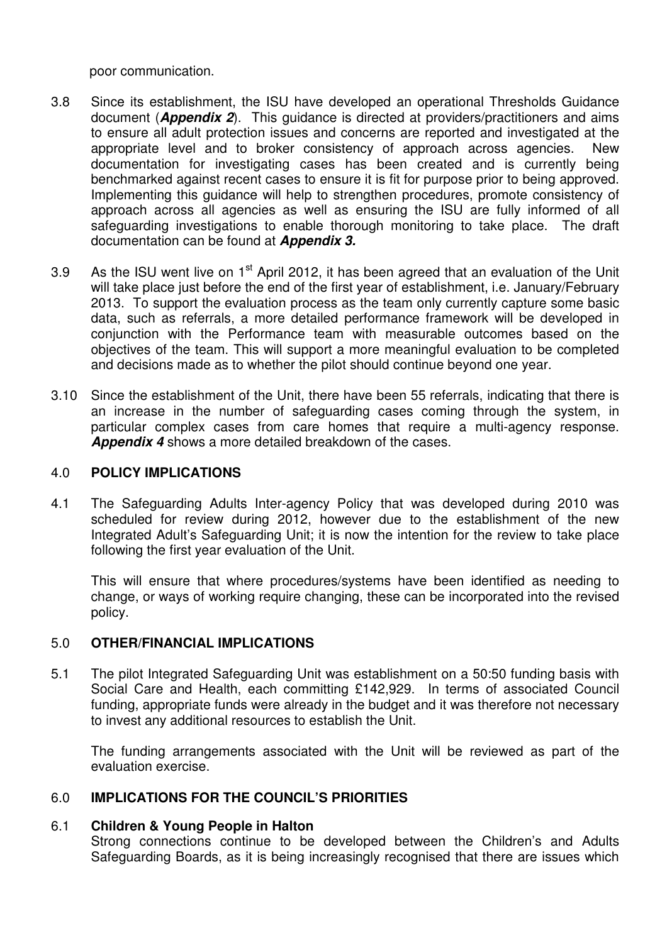poor communication.

- 3.8 Since its establishment, the ISU have developed an operational Thresholds Guidance document (**Appendix 2**). This guidance is directed at providers/practitioners and aims to ensure all adult protection issues and concerns are reported and investigated at the appropriate level and to broker consistency of approach across agencies. New documentation for investigating cases has been created and is currently being benchmarked against recent cases to ensure it is fit for purpose prior to being approved. Implementing this guidance will help to strengthen procedures, promote consistency of approach across all agencies as well as ensuring the ISU are fully informed of all safeguarding investigations to enable thorough monitoring to take place. The draft documentation can be found at **Appendix 3.**
- 3.9 As the ISU went live on  $1<sup>st</sup>$  April 2012, it has been agreed that an evaluation of the Unit will take place just before the end of the first year of establishment, i.e. January/February 2013. To support the evaluation process as the team only currently capture some basic data, such as referrals, a more detailed performance framework will be developed in conjunction with the Performance team with measurable outcomes based on the objectives of the team. This will support a more meaningful evaluation to be completed and decisions made as to whether the pilot should continue beyond one year.
- 3.10 Since the establishment of the Unit, there have been 55 referrals, indicating that there is an increase in the number of safeguarding cases coming through the system, in particular complex cases from care homes that require a multi-agency response. **Appendix 4** shows a more detailed breakdown of the cases.

### 4.0 **POLICY IMPLICATIONS**

4.1 The Safeguarding Adults Inter-agency Policy that was developed during 2010 was scheduled for review during 2012, however due to the establishment of the new Integrated Adult's Safeguarding Unit; it is now the intention for the review to take place following the first year evaluation of the Unit.

This will ensure that where procedures/systems have been identified as needing to change, or ways of working require changing, these can be incorporated into the revised policy.

# 5.0 **OTHER/FINANCIAL IMPLICATIONS**

5.1 The pilot Integrated Safeguarding Unit was establishment on a 50:50 funding basis with Social Care and Health, each committing £142,929. In terms of associated Council funding, appropriate funds were already in the budget and it was therefore not necessary to invest any additional resources to establish the Unit.

The funding arrangements associated with the Unit will be reviewed as part of the evaluation exercise.

# 6.0 **IMPLICATIONS FOR THE COUNCIL'S PRIORITIES**

### 6.1 **Children & Young People in Halton**

Strong connections continue to be developed between the Children's and Adults Safeguarding Boards, as it is being increasingly recognised that there are issues which